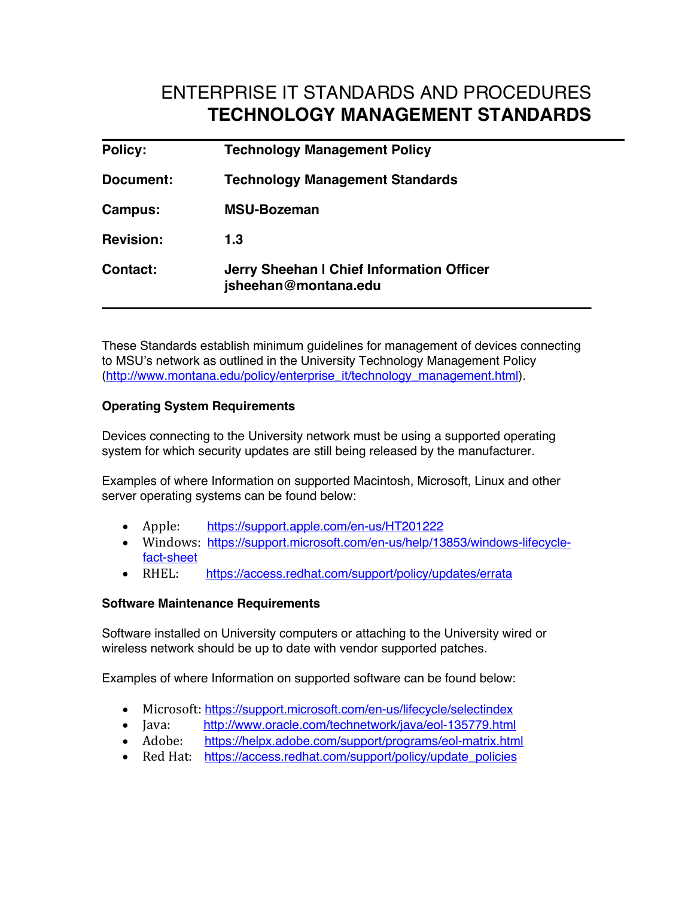# ENTERPRISE IT STANDARDS AND PROCEDURES **TECHNOLOGY MANAGEMENT STANDARDS**

| <b>Policy:</b>   | <b>Technology Management Policy</b>                               |
|------------------|-------------------------------------------------------------------|
| Document:        | <b>Technology Management Standards</b>                            |
| Campus:          | <b>MSU-Bozeman</b>                                                |
| <b>Revision:</b> | 1.3                                                               |
| Contact:         | Jerry Sheehan I Chief Information Officer<br>jsheehan@montana.edu |

These Standards establish minimum guidelines for management of devices connecting to MSU's network as outlined in the University Technology Management Policy (http://www.montana.edu/policy/enterprise\_it/technology\_management.html).

### **Operating System Requirements**

Devices connecting to the University network must be using a supported operating system for which security updates are still being released by the manufacturer.

Examples of where Information on supported Macintosh, Microsoft, Linux and other server operating systems can be found below:

- Apple: https://support.apple.com/en-us/HT201222
- Windows: https://support.microsoft.com/en-us/help/13853/windows-lifecyclefact-sheet
- RHEL: https://access.redhat.com/support/policy/updates/errata

#### **Software Maintenance Requirements**

Software installed on University computers or attaching to the University wired or wireless network should be up to date with vendor supported patches.

Examples of where Information on supported software can be found below:

- Microsoft: https://support.microsoft.com/en-us/lifecycle/selectindex
- Java: http://www.oracle.com/technetwork/java/eol-135779.html
- Adobe: https://helpx.adobe.com/support/programs/eol-matrix.html
- Red Hat: https://access.redhat.com/support/policy/update\_policies